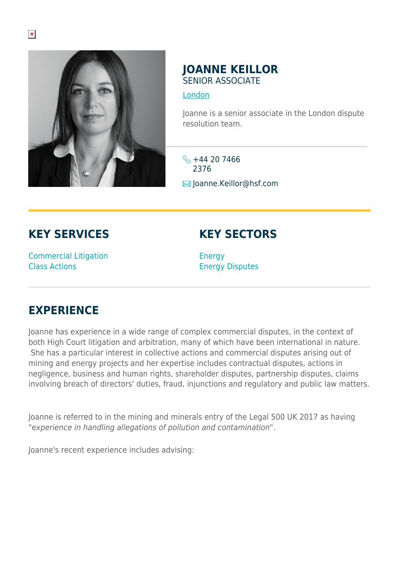

## **JOANNE KEILLOR** SENIOR ASSOCIATE

## [London](https://www.herbertsmithfreehills.com/lang-ru/where-we-work/london)

Joanne is a senior associate in the London dispute resolution team.

 $\frac{1}{2}$  +44 20 7466 2376  $\blacksquare$  Joanne.Keillor@hsf.com

**KEY SERVICES**

## **KEY SECTORS**

Commercial Litigation Class Actions

**Energy** Energy Disputes

## **EXPERIENCE**

Joanne has experience in a wide range of complex commercial disputes, in the context of both High Court litigation and arbitration, many of which have been international in nature. She has a particular interest in collective actions and commercial disputes arising out of mining and energy projects and her expertise includes contractual disputes, actions in negligence, business and human rights, shareholder disputes, partnership disputes, claims involving breach of directors' duties, fraud, injunctions and regulatory and public law matters.

Joanne is referred to in the mining and minerals entry of the Legal 500 UK 2017 as having "experience in handling allegations of pollution and contamination".

Joanne's recent experience includes advising: